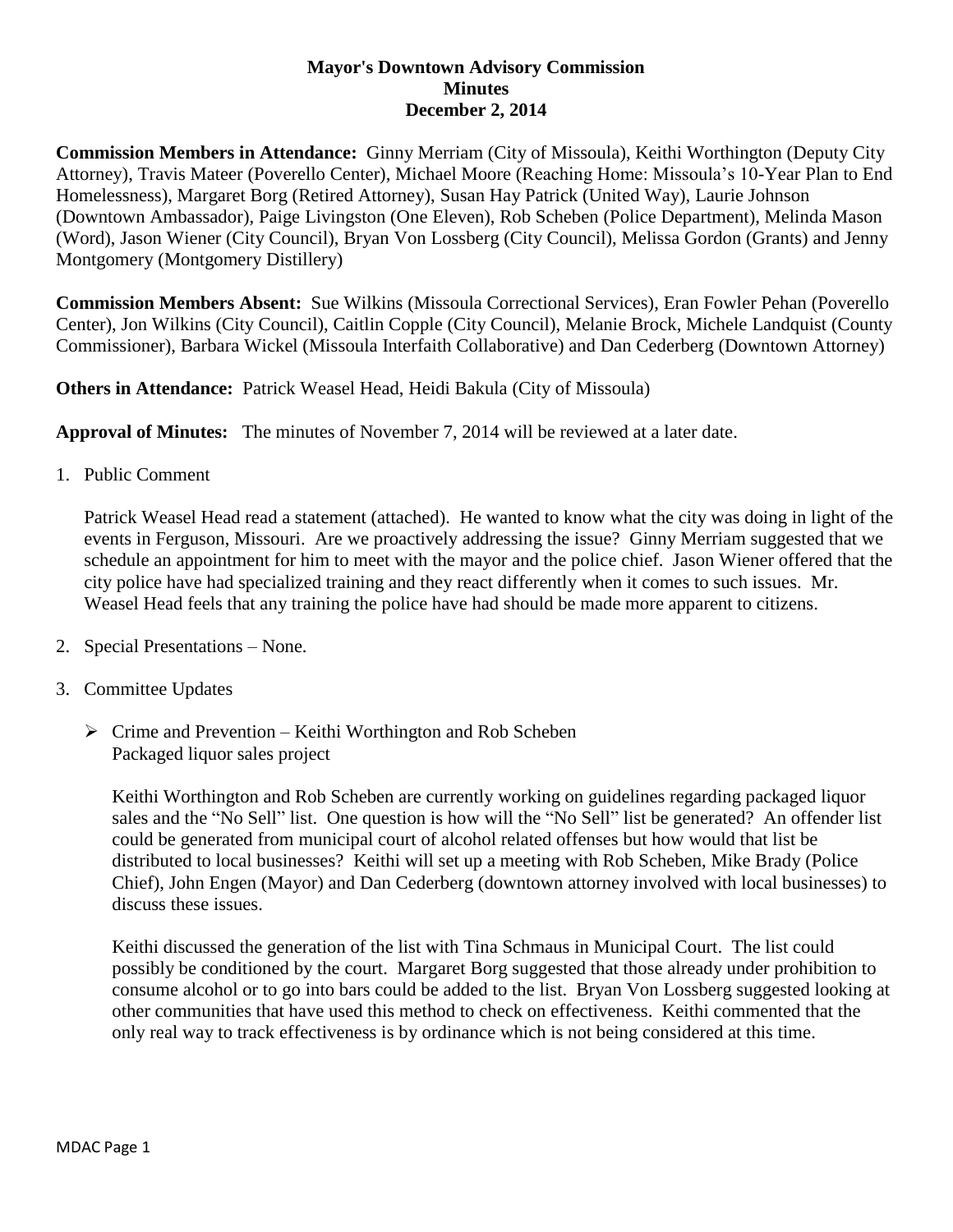## **Mayor's Downtown Advisory Commission Minutes December 2, 2014**

**Commission Members in Attendance:** Ginny Merriam (City of Missoula), Keithi Worthington (Deputy City Attorney), Travis Mateer (Poverello Center), Michael Moore (Reaching Home: Missoula's 10-Year Plan to End Homelessness), Margaret Borg (Retired Attorney), Susan Hay Patrick (United Way), Laurie Johnson (Downtown Ambassador), Paige Livingston (One Eleven), Rob Scheben (Police Department), Melinda Mason (Word), Jason Wiener (City Council), Bryan Von Lossberg (City Council), Melissa Gordon (Grants) and Jenny Montgomery (Montgomery Distillery)

**Commission Members Absent:** Sue Wilkins (Missoula Correctional Services), Eran Fowler Pehan (Poverello Center), Jon Wilkins (City Council), Caitlin Copple (City Council), Melanie Brock, Michele Landquist (County Commissioner), Barbara Wickel (Missoula Interfaith Collaborative) and Dan Cederberg (Downtown Attorney)

**Others in Attendance:** Patrick Weasel Head, Heidi Bakula (City of Missoula)

**Approval of Minutes:** The minutes of November 7, 2014 will be reviewed at a later date.

1. Public Comment

Patrick Weasel Head read a statement (attached). He wanted to know what the city was doing in light of the events in Ferguson, Missouri. Are we proactively addressing the issue? Ginny Merriam suggested that we schedule an appointment for him to meet with the mayor and the police chief. Jason Wiener offered that the city police have had specialized training and they react differently when it comes to such issues. Mr. Weasel Head feels that any training the police have had should be made more apparent to citizens.

- 2. Special Presentations None.
- 3. Committee Updates
	- $\triangleright$  Crime and Prevention Keithi Worthington and Rob Scheben Packaged liquor sales project

Keithi Worthington and Rob Scheben are currently working on guidelines regarding packaged liquor sales and the "No Sell" list. One question is how will the "No Sell" list be generated? An offender list could be generated from municipal court of alcohol related offenses but how would that list be distributed to local businesses? Keithi will set up a meeting with Rob Scheben, Mike Brady (Police Chief), John Engen (Mayor) and Dan Cederberg (downtown attorney involved with local businesses) to discuss these issues.

Keithi discussed the generation of the list with Tina Schmaus in Municipal Court. The list could possibly be conditioned by the court. Margaret Borg suggested that those already under prohibition to consume alcohol or to go into bars could be added to the list. Bryan Von Lossberg suggested looking at other communities that have used this method to check on effectiveness. Keithi commented that the only real way to track effectiveness is by ordinance which is not being considered at this time.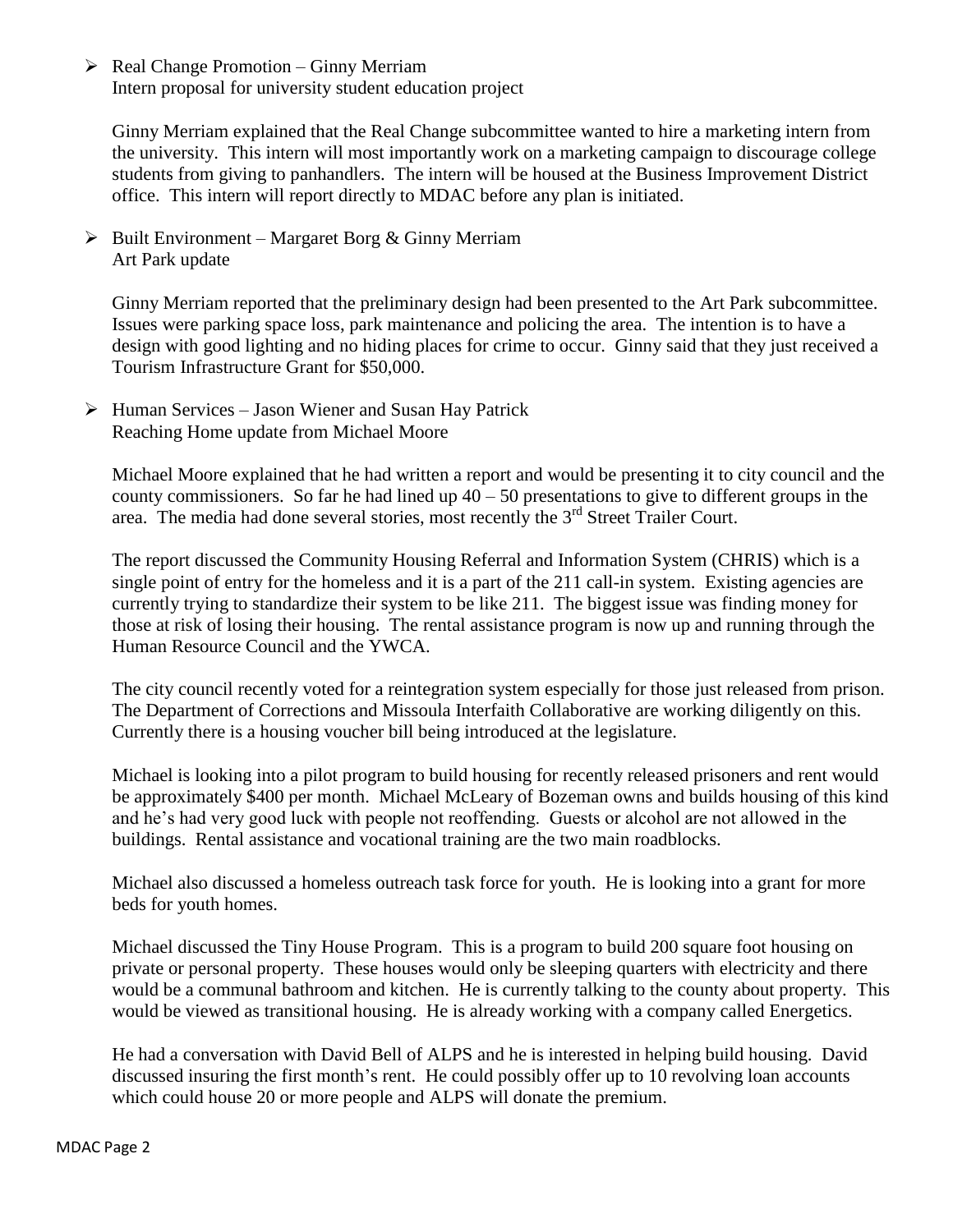$\triangleright$  Real Change Promotion – Ginny Merriam Intern proposal for university student education project

Ginny Merriam explained that the Real Change subcommittee wanted to hire a marketing intern from the university. This intern will most importantly work on a marketing campaign to discourage college students from giving to panhandlers. The intern will be housed at the Business Improvement District office. This intern will report directly to MDAC before any plan is initiated.

 $\triangleright$  Built Environment – Margaret Borg & Ginny Merriam Art Park update

Ginny Merriam reported that the preliminary design had been presented to the Art Park subcommittee. Issues were parking space loss, park maintenance and policing the area. The intention is to have a design with good lighting and no hiding places for crime to occur. Ginny said that they just received a Tourism Infrastructure Grant for \$50,000.

 $\triangleright$  Human Services – Jason Wiener and Susan Hay Patrick Reaching Home update from Michael Moore

Michael Moore explained that he had written a report and would be presenting it to city council and the county commissioners. So far he had lined up  $40 - 50$  presentations to give to different groups in the area. The media had done several stories, most recently the  $3<sup>rd</sup>$  Street Trailer Court.

The report discussed the Community Housing Referral and Information System (CHRIS) which is a single point of entry for the homeless and it is a part of the 211 call-in system. Existing agencies are currently trying to standardize their system to be like 211. The biggest issue was finding money for those at risk of losing their housing. The rental assistance program is now up and running through the Human Resource Council and the YWCA.

The city council recently voted for a reintegration system especially for those just released from prison. The Department of Corrections and Missoula Interfaith Collaborative are working diligently on this. Currently there is a housing voucher bill being introduced at the legislature.

Michael is looking into a pilot program to build housing for recently released prisoners and rent would be approximately \$400 per month. Michael McLeary of Bozeman owns and builds housing of this kind and he's had very good luck with people not reoffending. Guests or alcohol are not allowed in the buildings. Rental assistance and vocational training are the two main roadblocks.

Michael also discussed a homeless outreach task force for youth. He is looking into a grant for more beds for youth homes.

Michael discussed the Tiny House Program. This is a program to build 200 square foot housing on private or personal property. These houses would only be sleeping quarters with electricity and there would be a communal bathroom and kitchen. He is currently talking to the county about property. This would be viewed as transitional housing. He is already working with a company called Energetics.

He had a conversation with David Bell of ALPS and he is interested in helping build housing. David discussed insuring the first month's rent. He could possibly offer up to 10 revolving loan accounts which could house 20 or more people and ALPS will donate the premium.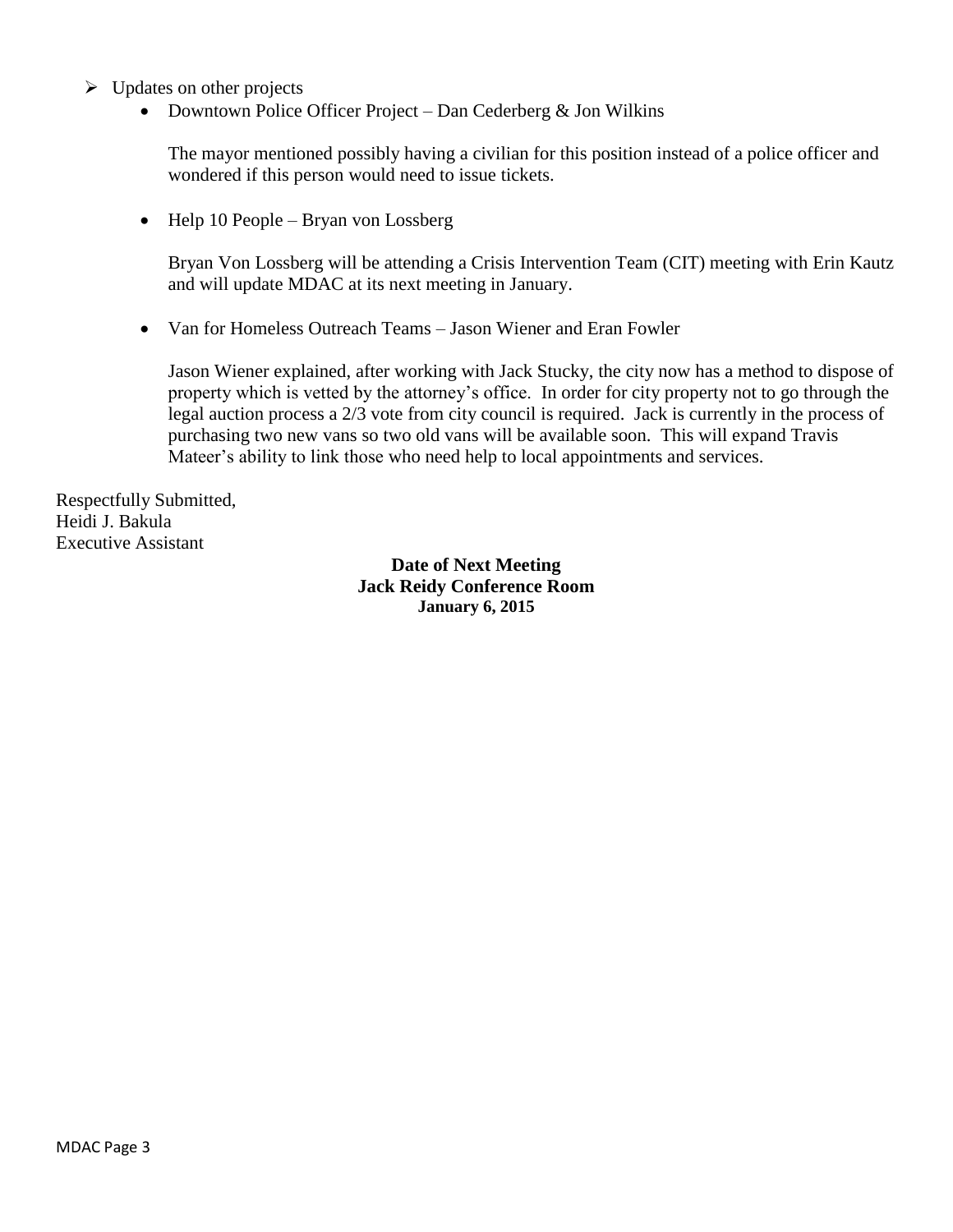- $\triangleright$  Updates on other projects
	- Downtown Police Officer Project Dan Cederberg  $&$  Jon Wilkins

The mayor mentioned possibly having a civilian for this position instead of a police officer and wondered if this person would need to issue tickets.

• Help 10 People – Bryan von Lossberg

Bryan Von Lossberg will be attending a Crisis Intervention Team (CIT) meeting with Erin Kautz and will update MDAC at its next meeting in January.

• Van for Homeless Outreach Teams – Jason Wiener and Eran Fowler

Jason Wiener explained, after working with Jack Stucky, the city now has a method to dispose of property which is vetted by the attorney's office. In order for city property not to go through the legal auction process a 2/3 vote from city council is required. Jack is currently in the process of purchasing two new vans so two old vans will be available soon. This will expand Travis Mateer's ability to link those who need help to local appointments and services.

Respectfully Submitted, Heidi J. Bakula Executive Assistant

> **Date of Next Meeting Jack Reidy Conference Room January 6, 2015**